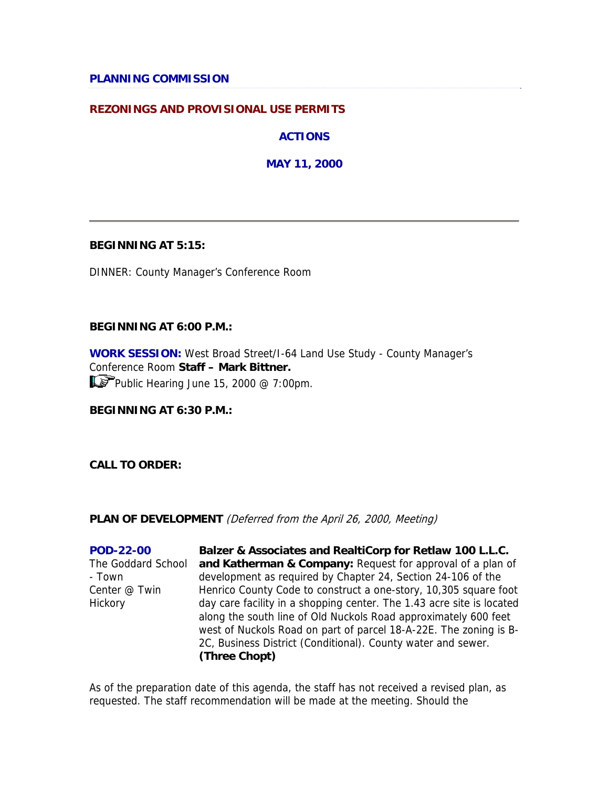## **PLANNING COMMISSION**

## **REZONINGS AND PROVISIONAL USE PERMITS**

**ACTIONS** 

**MAY 11, 2000** 

#### **BEGINNING AT 5:15:**

DINNER: County Manager's Conference Room

#### **BEGINNING AT 6:00 P.M.:**

**WORK SESSION:** West Broad Street/I-64 Land Use Study - County Manager's Conference Room **Staff – Mark Bittner.** Public Hearing June 15, 2000 @ 7:00pm.

### **BEGINNING AT 6:30 P.M.:**

**CALL TO ORDER:**

#### **PLAN OF DEVELOPMENT** (Deferred from the April 26, 2000, Meeting)

**POD-22-00** The Goddard School - Town Center @ Twin Hickory **Balzer & Associates and RealtiCorp for Retlaw 100 L.L.C. and Katherman & Company:** Request for approval of a plan of development as required by Chapter 24, Section 24-106 of the Henrico County Code to construct a one-story, 10,305 square foot day care facility in a shopping center. The 1.43 acre site is located along the south line of Old Nuckols Road approximately 600 feet west of Nuckols Road on part of parcel 18-A-22E. The zoning is B-2C, Business District (Conditional). County water and sewer. **(Three Chopt)**

As of the preparation date of this agenda, the staff has not received a revised plan, as requested. The staff recommendation will be made at the meeting. Should the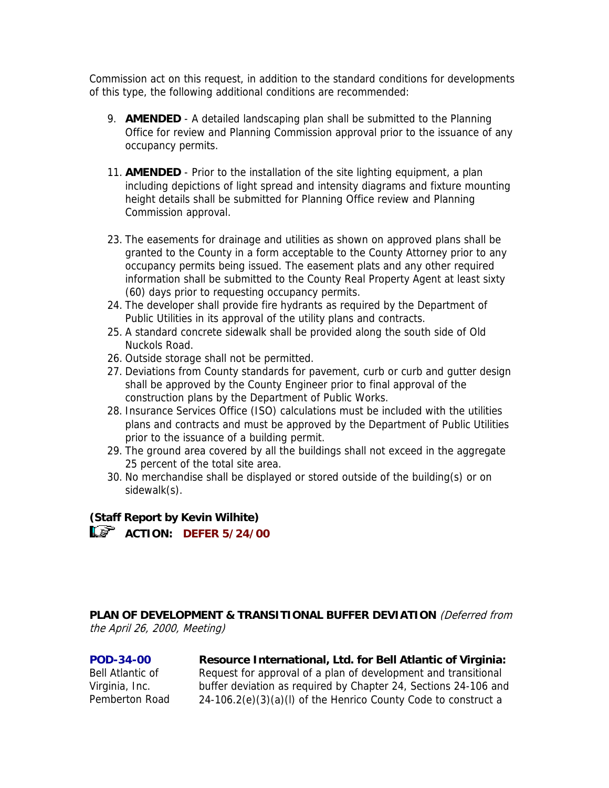Commission act on this request, in addition to the standard conditions for developments of this type, the following additional conditions are recommended:

- 9. **AMENDED** A detailed landscaping plan shall be submitted to the Planning Office for review and Planning Commission approval prior to the issuance of any occupancy permits.
- 11. **AMENDED** Prior to the installation of the site lighting equipment, a plan including depictions of light spread and intensity diagrams and fixture mounting height details shall be submitted for Planning Office review and Planning Commission approval.
- 23. The easements for drainage and utilities as shown on approved plans shall be granted to the County in a form acceptable to the County Attorney prior to any occupancy permits being issued. The easement plats and any other required information shall be submitted to the County Real Property Agent at least sixty (60) days prior to requesting occupancy permits.
- 24. The developer shall provide fire hydrants as required by the Department of Public Utilities in its approval of the utility plans and contracts.
- 25. A standard concrete sidewalk shall be provided along the south side of Old Nuckols Road.
- 26. Outside storage shall not be permitted.
- 27. Deviations from County standards for pavement, curb or curb and gutter design shall be approved by the County Engineer prior to final approval of the construction plans by the Department of Public Works.
- 28. Insurance Services Office (ISO) calculations must be included with the utilities plans and contracts and must be approved by the Department of Public Utilities prior to the issuance of a building permit.
- 29. The ground area covered by all the buildings shall not exceed in the aggregate 25 percent of the total site area.
- 30. No merchandise shall be displayed or stored outside of the building(s) or on sidewalk(s).

# **(Staff Report by Kevin Wilhite)**

**ACTION: DEFER 5/24/00** 

**PLAN OF DEVELOPMENT & TRANSITIONAL BUFFER DEVIATION** (Deferred from the April 26, 2000, Meeting)

**POD-34-00** Bell Atlantic of Virginia, Inc. Pemberton Road **Resource International, Ltd. for Bell Atlantic of Virginia:**

Request for approval of a plan of development and transitional buffer deviation as required by Chapter 24, Sections 24-106 and 24-106.2(e)(3)(a)(l) of the Henrico County Code to construct a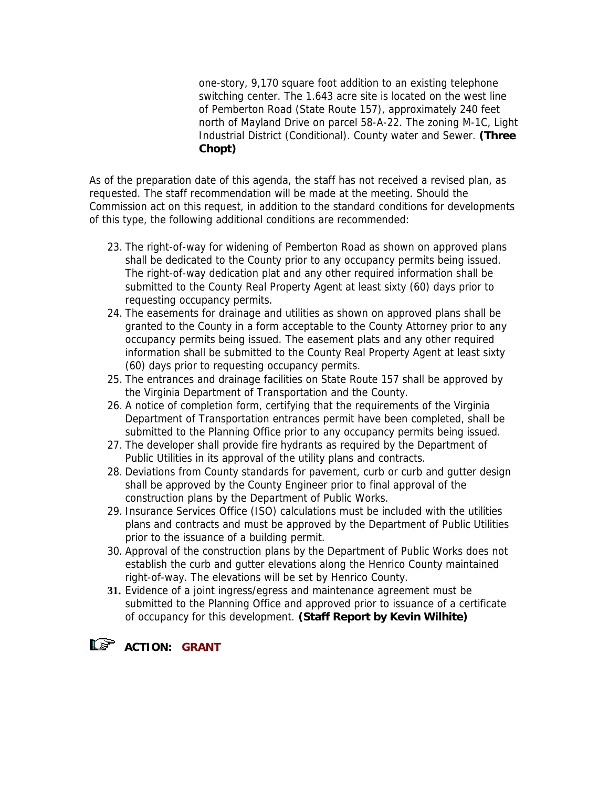one-story, 9,170 square foot addition to an existing telephone switching center. The 1.643 acre site is located on the west line of Pemberton Road (State Route 157), approximately 240 feet north of Mayland Drive on parcel 58-A-22. The zoning M-1C, Light Industrial District (Conditional). County water and Sewer. **(Three Chopt)**

As of the preparation date of this agenda, the staff has not received a revised plan, as requested. The staff recommendation will be made at the meeting. Should the Commission act on this request, in addition to the standard conditions for developments of this type, the following additional conditions are recommended:

- 23. The right-of-way for widening of Pemberton Road as shown on approved plans shall be dedicated to the County prior to any occupancy permits being issued. The right-of-way dedication plat and any other required information shall be submitted to the County Real Property Agent at least sixty (60) days prior to requesting occupancy permits.
- 24. The easements for drainage and utilities as shown on approved plans shall be granted to the County in a form acceptable to the County Attorney prior to any occupancy permits being issued. The easement plats and any other required information shall be submitted to the County Real Property Agent at least sixty (60) days prior to requesting occupancy permits.
- 25. The entrances and drainage facilities on State Route 157 shall be approved by the Virginia Department of Transportation and the County.
- 26. A notice of completion form, certifying that the requirements of the Virginia Department of Transportation entrances permit have been completed, shall be submitted to the Planning Office prior to any occupancy permits being issued.
- 27. The developer shall provide fire hydrants as required by the Department of Public Utilities in its approval of the utility plans and contracts.
- 28. Deviations from County standards for pavement, curb or curb and gutter design shall be approved by the County Engineer prior to final approval of the construction plans by the Department of Public Works.
- 29. Insurance Services Office (ISO) calculations must be included with the utilities plans and contracts and must be approved by the Department of Public Utilities prior to the issuance of a building permit.
- 30. Approval of the construction plans by the Department of Public Works does not establish the curb and gutter elevations along the Henrico County maintained right-of-way. The elevations will be set by Henrico County.
- **31.** Evidence of a joint ingress/egress and maintenance agreement must be submitted to the Planning Office and approved prior to issuance of a certificate of occupancy for this development. **(Staff Report by Kevin Wilhite)**

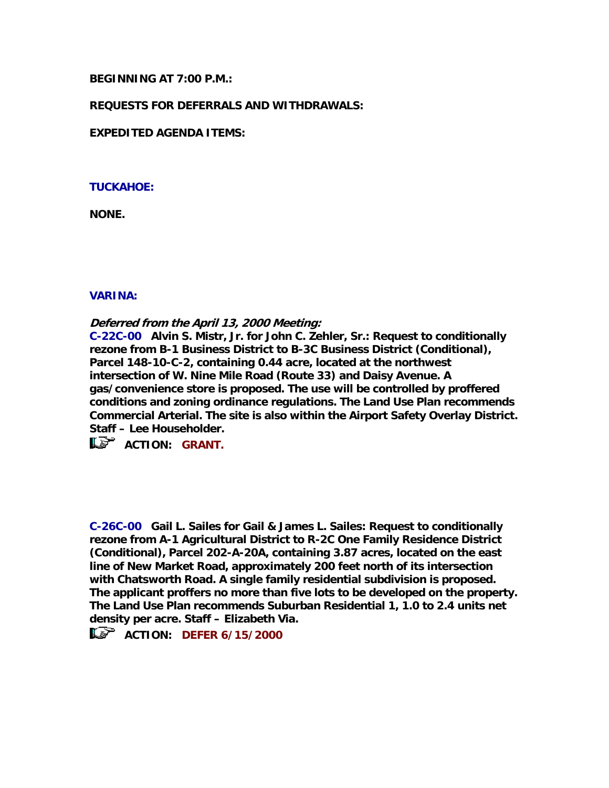### **BEGINNING AT 7:00 P.M.:**

### **REQUESTS FOR DEFERRALS AND WITHDRAWALS:**

**EXPEDITED AGENDA ITEMS:** 

### **TUCKAHOE:**

**NONE.** 

### **VARINA:**

**Deferred from the April 13, 2000 Meeting:**

**C-22C-00 Alvin S. Mistr, Jr. for John C. Zehler, Sr.: Request to conditionally rezone from B-1 Business District to B-3C Business District (Conditional), Parcel 148-10-C-2, containing 0.44 acre, located at the northwest intersection of W. Nine Mile Road (Route 33) and Daisy Avenue. A gas/convenience store is proposed. The use will be controlled by proffered conditions and zoning ordinance regulations. The Land Use Plan recommends Commercial Arterial. The site is also within the Airport Safety Overlay District. Staff – Lee Householder.** 

**LE** ACTION: GRANT.

**C-26C-00 Gail L. Sailes for Gail & James L. Sailes: Request to conditionally rezone from A-1 Agricultural District to R-2C One Family Residence District (Conditional), Parcel 202-A-20A, containing 3.87 acres, located on the east line of New Market Road, approximately 200 feet north of its intersection with Chatsworth Road. A single family residential subdivision is proposed. The applicant proffers no more than five lots to be developed on the property. The Land Use Plan recommends Suburban Residential 1, 1.0 to 2.4 units net density per acre. Staff – Elizabeth Via.** 

**ACTION: DEFER 6/15/2000**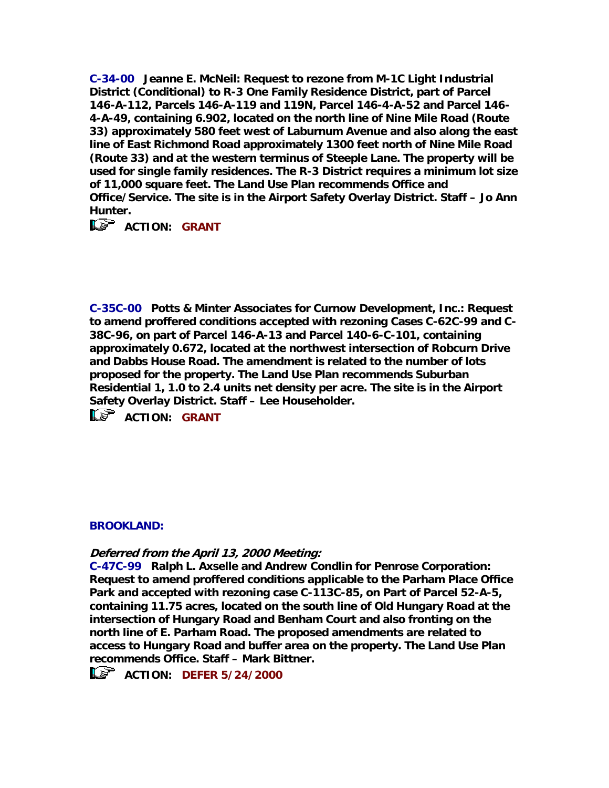**C-34-00 Jeanne E. McNeil: Request to rezone from M-1C Light Industrial District (Conditional) to R-3 One Family Residence District, part of Parcel 146-A-112, Parcels 146-A-119 and 119N, Parcel 146-4-A-52 and Parcel 146- 4-A-49, containing 6.902, located on the north line of Nine Mile Road (Route 33) approximately 580 feet west of Laburnum Avenue and also along the east line of East Richmond Road approximately 1300 feet north of Nine Mile Road (Route 33) and at the western terminus of Steeple Lane. The property will be used for single family residences. The R-3 District requires a minimum lot size of 11,000 square feet. The Land Use Plan recommends Office and Office/Service. The site is in the Airport Safety Overlay District. Staff – Jo Ann Hunter.** 

**ACTION: GRANT** 

**C-35C-00 Potts & Minter Associates for Curnow Development, Inc.: Request to amend proffered conditions accepted with rezoning Cases C-62C-99 and C-38C-96, on part of Parcel 146-A-13 and Parcel 140-6-C-101, containing approximately 0.672, located at the northwest intersection of Robcurn Drive and Dabbs House Road. The amendment is related to the number of lots proposed for the property. The Land Use Plan recommends Suburban Residential 1, 1.0 to 2.4 units net density per acre. The site is in the Airport Safety Overlay District. Staff – Lee Householder.** 

 $\mathbb{R}$  ACTION: GRANT

# **BROOKLAND:**

**Deferred from the April 13, 2000 Meeting:**

**C-47C-99 Ralph L. Axselle and Andrew Condlin for Penrose Corporation: Request to amend proffered conditions applicable to the Parham Place Office Park and accepted with rezoning case C-113C-85, on Part of Parcel 52-A-5, containing 11.75 acres, located on the south line of Old Hungary Road at the intersection of Hungary Road and Benham Court and also fronting on the north line of E. Parham Road. The proposed amendments are related to access to Hungary Road and buffer area on the property. The Land Use Plan recommends Office. Staff – Mark Bittner.**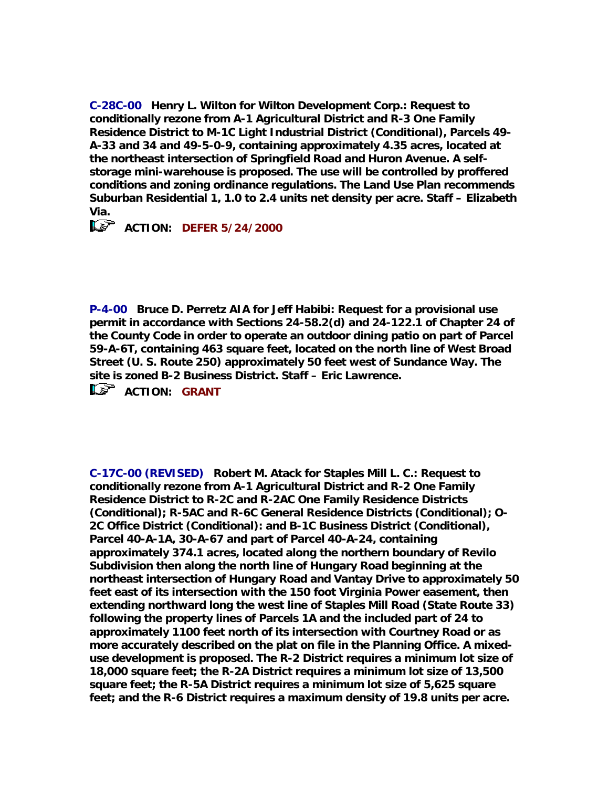**C-28C-00 Henry L. Wilton for Wilton Development Corp.: Request to conditionally rezone from A-1 Agricultural District and R-3 One Family Residence District to M-1C Light Industrial District (Conditional), Parcels 49- A-33 and 34 and 49-5-0-9, containing approximately 4.35 acres, located at the northeast intersection of Springfield Road and Huron Avenue. A selfstorage mini-warehouse is proposed. The use will be controlled by proffered conditions and zoning ordinance regulations. The Land Use Plan recommends Suburban Residential 1, 1.0 to 2.4 units net density per acre. Staff – Elizabeth Via.** 

*<u>EXP* ACTION: DEFER 5/24/2000</u>

**P-4-00 Bruce D. Perretz AIA for Jeff Habibi: Request for a provisional use permit in accordance with Sections 24-58.2(d) and 24-122.1 of Chapter 24 of the County Code in order to operate an outdoor dining patio on part of Parcel 59-A-6T, containing 463 square feet, located on the north line of West Broad Street (U. S. Route 250) approximately 50 feet west of Sundance Way. The site is zoned B-2 Business District. Staff – Eric Lawrence.** 

**ACTION: GRANT** 

**C-17C-00 (REVISED) Robert M. Atack for Staples Mill L. C.: Request to conditionally rezone from A-1 Agricultural District and R-2 One Family Residence District to R-2C and R-2AC One Family Residence Districts (Conditional); R-5AC and R-6C General Residence Districts (Conditional); O-2C Office District (Conditional): and B-1C Business District (Conditional), Parcel 40-A-1A, 30-A-67 and part of Parcel 40-A-24, containing approximately 374.1 acres, located along the northern boundary of Revilo Subdivision then along the north line of Hungary Road beginning at the northeast intersection of Hungary Road and Vantay Drive to approximately 50 feet east of its intersection with the 150 foot Virginia Power easement, then extending northward long the west line of Staples Mill Road (State Route 33) following the property lines of Parcels 1A and the included part of 24 to approximately 1100 feet north of its intersection with Courtney Road or as more accurately described on the plat on file in the Planning Office. A mixeduse development is proposed. The R-2 District requires a minimum lot size of 18,000 square feet; the R-2A District requires a minimum lot size of 13,500 square feet; the R-5A District requires a minimum lot size of 5,625 square feet; and the R-6 District requires a maximum density of 19.8 units per acre.**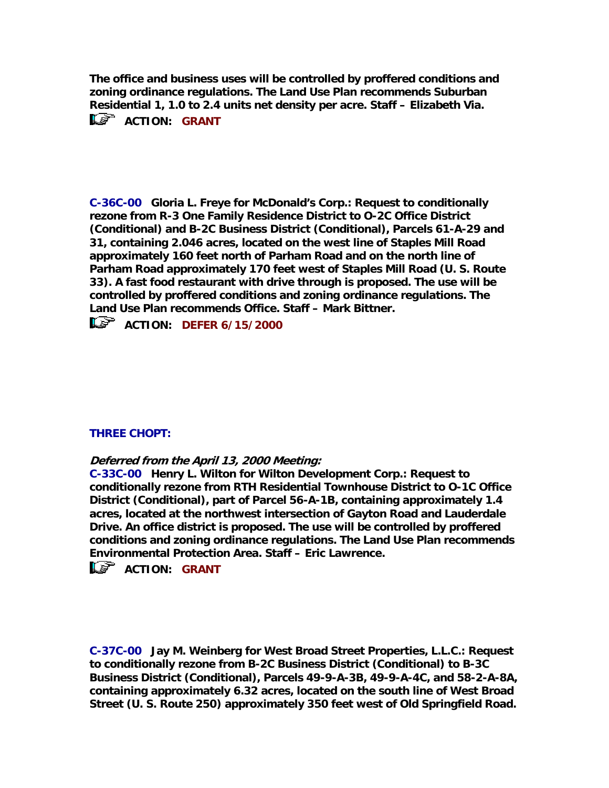**The office and business uses will be controlled by proffered conditions and zoning ordinance regulations. The Land Use Plan recommends Suburban Residential 1, 1.0 to 2.4 units net density per acre. Staff – Elizabeth Via.**  *ACTION: GRANT* 

**C-36C-00 Gloria L. Freye for McDonald's Corp.: Request to conditionally rezone from R-3 One Family Residence District to O-2C Office District (Conditional) and B-2C Business District (Conditional), Parcels 61-A-29 and 31, containing 2.046 acres, located on the west line of Staples Mill Road approximately 160 feet north of Parham Road and on the north line of Parham Road approximately 170 feet west of Staples Mill Road (U. S. Route 33). A fast food restaurant with drive through is proposed. The use will be controlled by proffered conditions and zoning ordinance regulations. The Land Use Plan recommends Office. Staff – Mark Bittner.** 

**ACTION: DEFER 6/15/2000** 

# **THREE CHOPT:**

#### **Deferred from the April 13, 2000 Meeting:**

**C-33C-00 Henry L. Wilton for Wilton Development Corp.: Request to conditionally rezone from RTH Residential Townhouse District to O-1C Office District (Conditional), part of Parcel 56-A-1B, containing approximately 1.4 acres, located at the northwest intersection of Gayton Road and Lauderdale Drive. An office district is proposed. The use will be controlled by proffered conditions and zoning ordinance regulations. The Land Use Plan recommends Environmental Protection Area. Staff – Eric Lawrence.** 

**ACTION: GRANT** 

**C-37C-00 Jay M. Weinberg for West Broad Street Properties, L.L.C.: Request to conditionally rezone from B-2C Business District (Conditional) to B-3C Business District (Conditional), Parcels 49-9-A-3B, 49-9-A-4C, and 58-2-A-8A, containing approximately 6.32 acres, located on the south line of West Broad Street (U. S. Route 250) approximately 350 feet west of Old Springfield Road.**